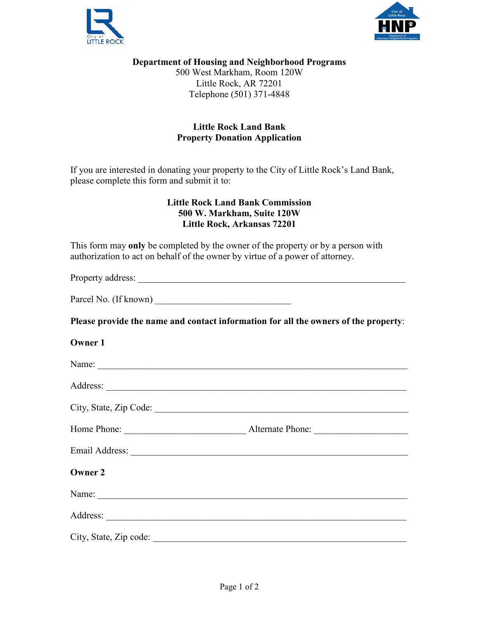



## **Department of Housing and Neighborhood Programs**

500 West Markham, Room 120W Little Rock, AR 72201 Telephone (501) 371-4848

## **Little Rock Land Bank Property Donation Application**

If you are interested in donating your property to the City of Little Rock's Land Bank, please complete this form and submit it to:

## **Little Rock Land Bank Commission 500 W. Markham, Suite 120W Little Rock, Arkansas 72201**

This form may **only** be completed by the owner of the property or by a person with authorization to act on behalf of the owner by virtue of a power of attorney.

Property address: \_\_\_\_\_\_\_\_\_\_\_\_\_\_\_\_\_\_\_\_\_\_\_\_\_\_\_\_\_\_\_\_\_\_\_\_\_\_\_\_\_\_\_\_\_\_\_\_\_\_\_\_\_\_\_\_\_

Parcel No. (If known)

**Please provide the name and contact information for all the owners of the property**:

| <b>Owner 1</b>         |  |
|------------------------|--|
|                        |  |
|                        |  |
|                        |  |
|                        |  |
|                        |  |
| <b>Owner 2</b>         |  |
| Name:                  |  |
|                        |  |
| City, State, Zip code: |  |